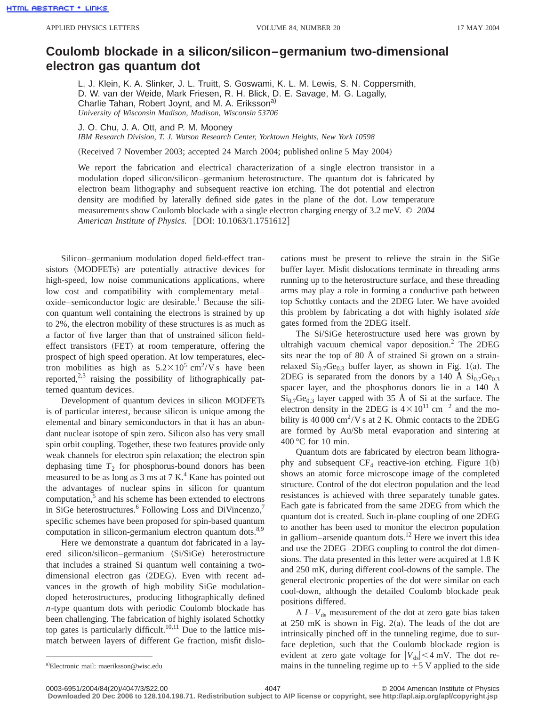## Coulomb blockade in a silicon/silicon–germanium two-dimensional **electron gas quantum dot**

L. J. Klein, K. A. Slinker, J. L. Truitt, S. Goswami, K. L. M. Lewis, S. N. Coppersmith, D. W. van der Weide, Mark Friesen, R. H. Blick, D. E. Savage, M. G. Lagally, Charlie Tahan, Robert Joynt, and M. A. Eriksson<sup>a)</sup> *University of Wisconsin Madison, Madison, Wisconsin 53706*

J. O. Chu, J. A. Ott, and P. M. Mooney *IBM Research Division, T. J. Watson Research Center, Yorktown Heights, New York 10598*

(Received 7 November 2003; accepted 24 March 2004; published online 5 May 2004)

We report the fabrication and electrical characterization of a single electron transistor in a modulation doped silicon/silicon–germanium heterostructure. The quantum dot is fabricated by electron beam lithography and subsequent reactive ion etching. The dot potential and electron density are modified by laterally defined side gates in the plane of the dot. Low temperature measurements show Coulomb blockade with a single electron charging energy of 3.2 meV. © *2004 American Institute of Physics.* [DOI: 10.1063/1.1751612]

Silicon–germanium modulation doped field-effect transistors (MODFETs) are potentially attractive devices for high-speed, low noise communications applications, where low cost and compatibility with complementary metal–  $o$ xide–semiconductor logic are desirable.<sup>1</sup> Because the silicon quantum well containing the electrons is strained by up to 2%, the electron mobility of these structures is as much as a factor of five larger than that of unstrained silicon fieldeffect transistors (FET) at room temperature, offering the prospect of high speed operation. At low temperatures, electron mobilities as high as  $5.2 \times 10^5$  cm<sup>2</sup>/V s have been reported, $2,3$  raising the possibility of lithographically patterned quantum devices.

Development of quantum devices in silicon MODFETs is of particular interest, because silicon is unique among the elemental and binary semiconductors in that it has an abundant nuclear isotope of spin zero. Silicon also has very small spin orbit coupling. Together, these two features provide only weak channels for electron spin relaxation; the electron spin dephasing time  $T_2$  for phosphorus-bound donors has been measured to be as long as  $3 \text{ ms}$  at  $7 \text{ K}$ .<sup>4</sup> Kane has pointed out the advantages of nuclear spins in silicon for quantum computation, $5$  and his scheme has been extended to electrons in SiGe heterostructures.<sup>6</sup> Following Loss and DiVincenzo,<sup>7</sup> specific schemes have been proposed for spin-based quantum computation in silicon-germanium electron quantum dots.<sup>8,9</sup>

Here we demonstrate a quantum dot fabricated in a layered silicon/silicon–germanium (Si/SiGe) heterostructure that includes a strained Si quantum well containing a twodimensional electron gas (2DEG). Even with recent advances in the growth of high mobility SiGe modulationdoped heterostructures, producing lithographically defined *n*-type quantum dots with periodic Coulomb blockade has been challenging. The fabrication of highly isolated Schottky top gates is particularly difficult.<sup>10,11</sup> Due to the lattice mismatch between layers of different Ge fraction, misfit dislocations must be present to relieve the strain in the SiGe buffer layer. Misfit dislocations terminate in threading arms running up to the heterostructure surface, and these threading arms may play a role in forming a conductive path between top Schottky contacts and the 2DEG later. We have avoided this problem by fabricating a dot with highly isolated *side* gates formed from the 2DEG itself.

The Si/SiGe heterostructure used here was grown by ultrahigh vacuum chemical vapor deposition.<sup>2</sup> The 2DEG sits near the top of 80 Å of strained Si grown on a strainrelaxed  $Si<sub>0.7</sub>Ge<sub>0.3</sub>$  buffer layer, as shown in Fig. 1(a). The 2DEG is separated from the donors by a 140 Å  $\text{Si}_{0.7}\text{Ge}_{0.3}$ spacer layer, and the phosphorus donors lie in a 140 Å  $Si<sub>0.7</sub>Ge<sub>0.3</sub>$  layer capped with 35 Å of Si at the surface. The electron density in the 2DEG is  $4 \times 10^{11}$  cm<sup>-2</sup> and the mobility is 40 000 cm<sup>2</sup>/V s at 2 K. Ohmic contacts to the 2DEG are formed by Au/Sb metal evaporation and sintering at 400 °C for 10 min.

Quantum dots are fabricated by electron beam lithography and subsequent  $CF_4$  reactive-ion etching. Figure 1(b) shows an atomic force microscope image of the completed structure. Control of the dot electron population and the lead resistances is achieved with three separately tunable gates. Each gate is fabricated from the same 2DEG from which the quantum dot is created. Such in-plane coupling of one 2DEG to another has been used to monitor the electron population in gallium–arsenide quantum dots.<sup>12</sup> Here we invert this idea and use the 2DEG–2DEG coupling to control the dot dimensions. The data presented in this letter were acquired at 1.8 K and 250 mK, during different cool-downs of the sample. The general electronic properties of the dot were similar on each cool-down, although the detailed Coulomb blockade peak positions differed.

 $A I - V_{ds}$  measurement of the dot at zero gate bias taken at  $250 \text{ mK}$  is shown in Fig.  $2(a)$ . The leads of the dot are intrinsically pinched off in the tunneling regime, due to surface depletion, such that the Coulomb blockade region is evident at zero gate voltage for  $|V_{ds}| < 4$  mV. The dot remains in the tunneling regime up to  $+5$  V applied to the side

**Downloaded 20 Dec 2006 to 128.104.198.71. Redistribution subject to AIP license or copyright, see http://apl.aip.org/apl/copyright.jsp**

a)Electronic mail: maeriksson@wisc.edu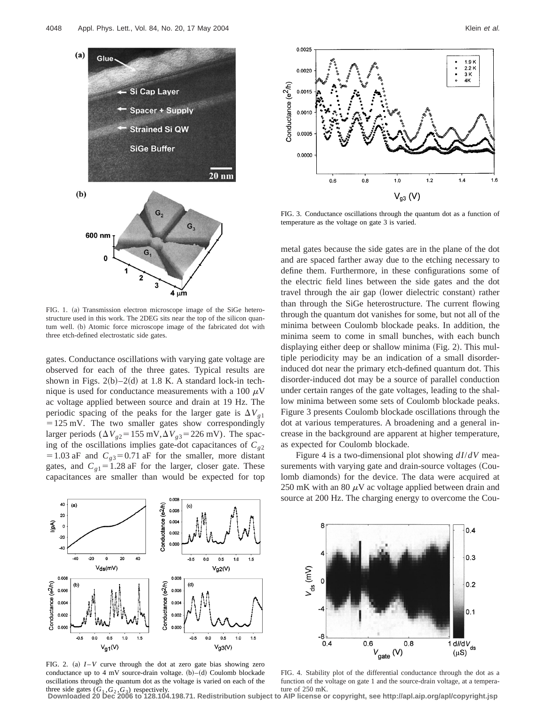

FIG. 1. (a) Transmission electron microscope image of the SiGe heterostructure used in this work. The 2DEG sits near the top of the silicon quantum well. (b) Atomic force microscope image of the fabricated dot with three etch-defined electrostatic side gates.

gates. Conductance oscillations with varying gate voltage are observed for each of the three gates. Typical results are shown in Figs.  $2(b) - 2(d)$  at 1.8 K. A standard lock-in technique is used for conductance measurements with a 100  $\mu$ V ac voltage applied between source and drain at 19 Hz. The periodic spacing of the peaks for the larger gate is  $\Delta V_{g1}$  $=125$  mV. The two smaller gates show correspondingly larger periods ( $\Delta V_{g2}$ =155 mV, $\Delta V_{g3}$ =226 mV). The spacing of the oscillations implies gate-dot capacitances of  $C_{g2}$  $=1.03$  aF and  $C_{g3}=0.71$  aF for the smaller, more distant gates, and  $C_{g1}$ =1.28 aF for the larger, closer gate. These capacitances are smaller than would be expected for top



FIG. 3. Conductance oscillations through the quantum dot as a function of temperature as the voltage on gate 3 is varied.

metal gates because the side gates are in the plane of the dot and are spaced farther away due to the etching necessary to define them. Furthermore, in these configurations some of the electric field lines between the side gates and the dot travel through the air gap (lower dielectric constant) rather than through the SiGe heterostructure. The current flowing through the quantum dot vanishes for some, but not all of the minima between Coulomb blockade peaks. In addition, the minima seem to come in small bunches, with each bunch displaying either deep or shallow minima (Fig. 2). This multiple periodicity may be an indication of a small disorderinduced dot near the primary etch-defined quantum dot. This disorder-induced dot may be a source of parallel conduction under certain ranges of the gate voltages, leading to the shallow minima between some sets of Coulomb blockade peaks. Figure 3 presents Coulomb blockade oscillations through the dot at various temperatures. A broadening and a general increase in the background are apparent at higher temperature, as expected for Coulomb blockade.

Figure 4 is a two-dimensional plot showing *dI*/*dV* measurements with varying gate and drain-source voltages (Coulomb diamonds) for the device. The data were acquired at 250 mK with an 80  $\mu$ V ac voltage applied between drain and source at 200 Hz. The charging energy to overcome the Cou-



FIG. 2. (a)  $I - V$  curve through the dot at zero gate bias showing zero conductance up to 4 mV source-drain voltage.  $(b)$ – $(d)$  Coulomb blockade oscillations through the quantum dot as the voltage is varied on each of the



FIG. 4. Stability plot of the differential conductance through the dot as a function of the voltage on gate 1 and the source-drain voltage, at a tempera-

three side gates (*G*<sup>1</sup> ,*G*<sup>2</sup> ,*G*3) respectively. ture of 250 mK. **Downloaded 20 Dec 2006 to 128.104.198.71. Redistribution subject to AIP license or copyright, see http://apl.aip.org/apl/copyright.jsp**